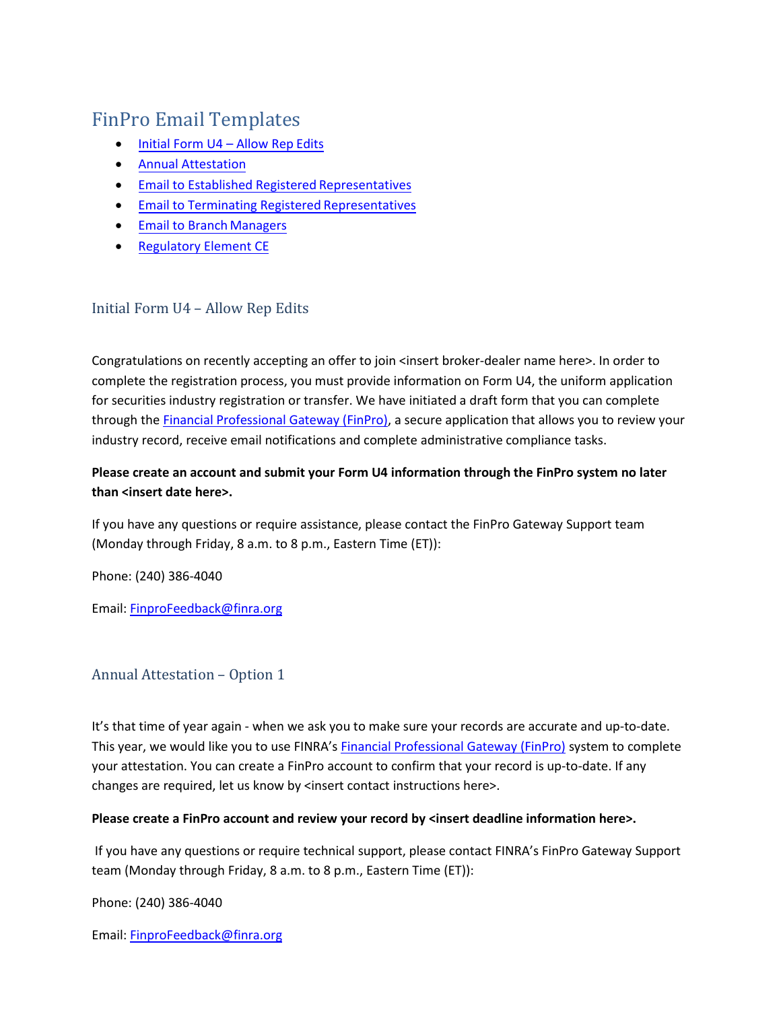# FinPro Email Templates

- [Initial Form U4](#page-0-0) Allow Rep Edits
- Annual [Attestation](#page-0-1)
- [Email to Established Registered](#page-1-0) Representatives
- [Email to Terminating Registered](#page-2-0) Representatives
- Email to Branch [Managers](#page-2-1)
- [Regulatory Element CE](#page-3-0)

## <span id="page-0-0"></span>Initial Form U4 – Allow Rep Edits

Congratulations on recently accepting an offer to join <insert broker-dealer name here>. In order to complete the registration process, you must provide information on Form U4, the uniform application for securities industry registration or transfer. We have initiated a draft form that you can complete through th[e Financial Professional Gateway \(FinPro\), a](https://finpro.finra.org/) secure application that allows you to review your industry record, receive email notifications and complete administrative compliance tasks.

## **Please create an account and submit your Form U4 information through the FinPro system no later than <insert date here>.**

If you have any questions or require assistance, please contact the FinPro Gateway Support team (Monday through Friday, 8 a.m. to 8 p.m., Eastern Time (ET)):

Phone: (240) 386-4040

Email: [FinproFeedback@finra.org](mailto:finpro@finra.org)

### <span id="page-0-1"></span>Annual Attestation – Option 1

It's that time of year again - when we ask you to make sure your records are accurate and up-to-date. This year, we would like you to use FINRA's [Financial Professional Gateway \(FinPro\)](https://finpro.finra.org/) system to complete your attestation. You can create a FinPro account to confirm that your record is up-to-date. If any changes are required, let us know by <insert contact instructions here>.

#### **Please create a FinPro account and review your record by <insert deadline information here>.**

If you have any questions or require technical support, please contact FINRA's FinPro Gateway Support team (Monday through Friday, 8 a.m. to 8 p.m., Eastern Time (ET)):

Phone: (240) 386-4040

Email: [FinproFeedback@finra.org](mailto:finpro@finra.org)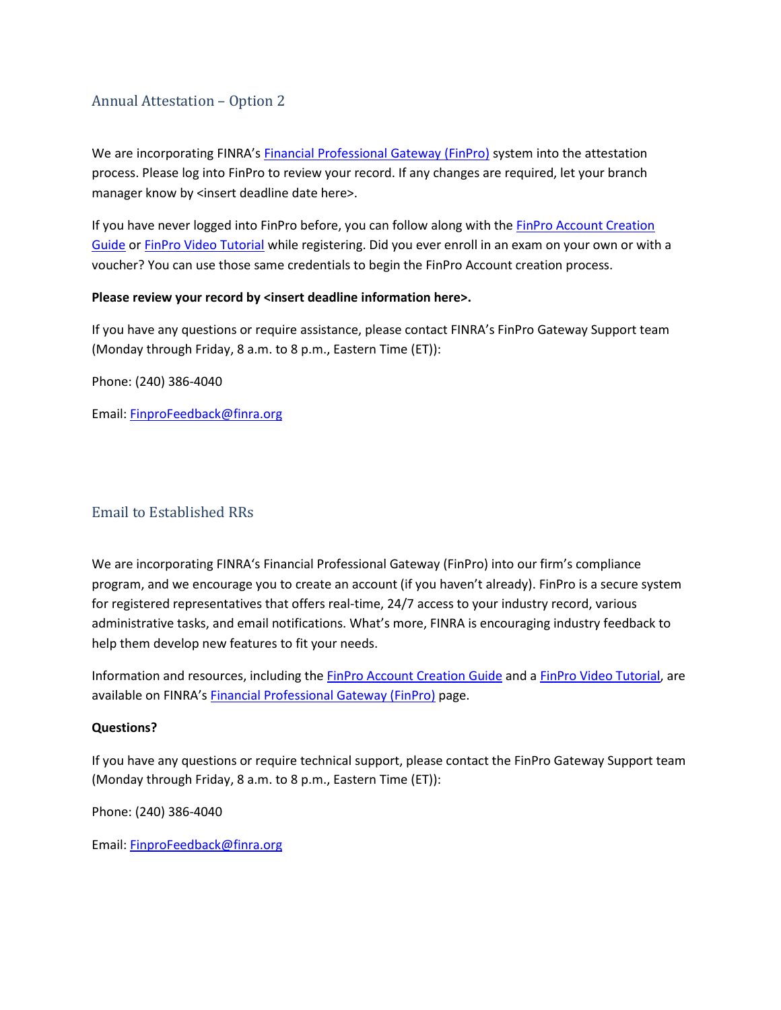## Annual Attestation – Option 2

We are incorporating FINRA's [Financial Professional Gateway \(FinPro\)](https://finpro.finra.org/) system into the attestation process. Please log into FinPro to review your record. If any changes are required, let your branch manager know by <insert deadline date here>.

If you have never logged into FinPro before, you can follow along with the [FinPro Account Creation](https://www.finra.org/sites/default/files/2019-09/FinPro_Guide.pdf) [Guide](https://www.finra.org/sites/default/files/2019-09/FinPro_Guide.pdf) or [FinPro Video Tutorial](http://www.finra.org/registration-exams-ce/finpro/account-video-tutorial) while registering. Did you ever enroll in an exam on your own or with a voucher? You can use those same credentials to begin the FinPro Account creation process.

#### **Please review your record by <insert deadline information here>.**

If you have any questions or require assistance, please contact FINRA's FinPro Gateway Support team (Monday through Friday, 8 a.m. to 8 p.m., Eastern Time (ET)):

Phone: (240) 386-4040

Email: [FinproFeedback@finra.org](mailto:finpro@finra.org)

# <span id="page-1-0"></span>Email to Established RRs

We are incorporating FINRA's Financial Professional Gateway (FinPro) into our firm's compliance program, and we encourage you to create an account (if you haven't already). FinPro is a secure system for registered representatives that offers real-time, 24/7 access to your industry record, various administrative tasks, and email notifications. What's more, FINRA is encouraging industry feedback to help them develop new features to fit your needs.

Information and resources, including the [FinPro Account Creation Guide](https://www.finra.org/sites/default/files/2019-09/FinPro_Guide.pdf) and [a FinPro Video Tutorial, a](http://www.finra.org/registration-exams-ce/finpro/account-video-tutorial)re available on FINRA's [Financial Professional Gateway \(FinPro\)](http://www.finra.org/industry/finpro) page.

#### **Questions?**

If you have any questions or require technical support, please contact the FinPro Gateway Support team (Monday through Friday, 8 a.m. to 8 p.m., Eastern Time (ET)):

Phone: (240) 386-4040

Email: [FinproFeedback@finra.org](mailto:finpro@finra.org)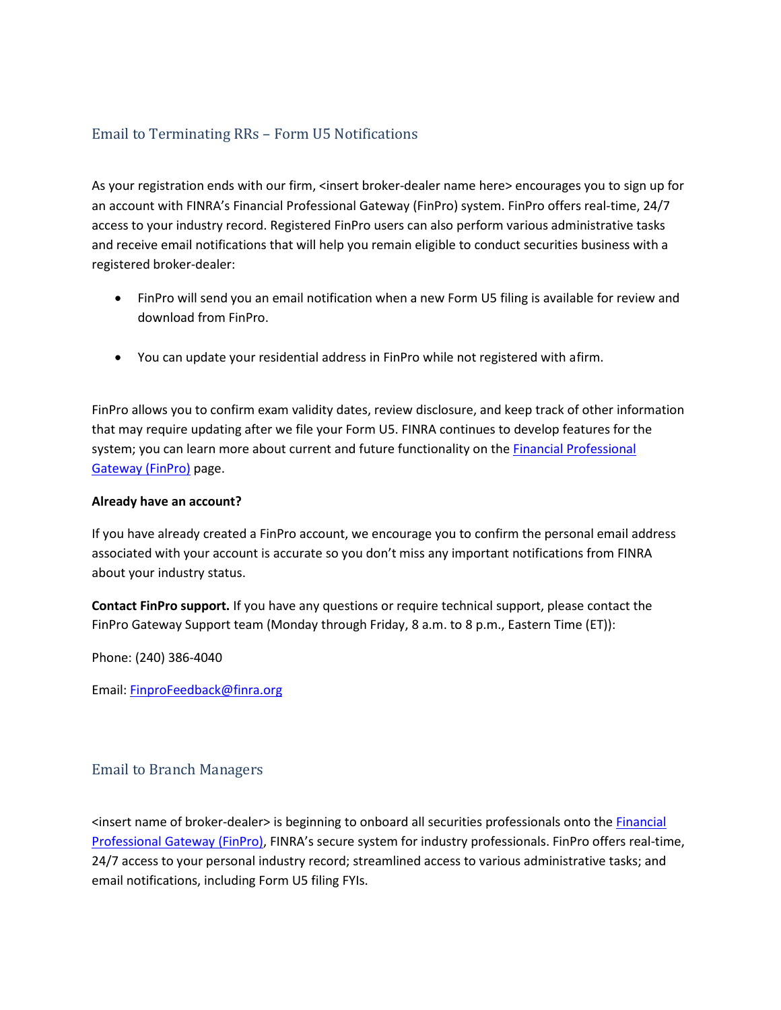# <span id="page-2-0"></span>Email to Terminating RRs – Form U5 Notifications

As your registration ends with our firm, <insert broker-dealer name here> encourages you to sign up for an account with FINRA's Financial Professional Gateway (FinPro) system. FinPro offers real-time, 24/7 access to your industry record. Registered FinPro users can also perform various administrative tasks and receive email notifications that will help you remain eligible to conduct securities business with a registered broker-dealer:

- FinPro will send you an email notification when a new Form U5 filing is available for review and download from FinPro.
- You can update your residential address in FinPro while not registered with afirm.

FinPro allows you to confirm exam validity dates, review disclosure, and keep track of other information that may require updating after we file your Form U5. FINRA continues to develop features for the system; you can learn more about current and future functionality on the [Financial Professional](http://www.finra.org/industry/finpro) [Gateway \(FinPro\)](http://www.finra.org/industry/finpro) page.

#### **Already have an account?**

If you have already created a FinPro account, we encourage you to confirm the personal email address associated with your account is accurate so you don't miss any important notifications from FINRA about your industry status.

**Contact FinPro support.** If you have any questions or require technical support, please contact the FinPro Gateway Support team (Monday through Friday, 8 a.m. to 8 p.m., Eastern Time (ET)):

Phone: (240) 386-4040

Email: [FinproFeedback@finra.org](mailto:finpro@finra.org)

# <span id="page-2-1"></span>Email to Branch Managers

<insert name of broker-dealer> is beginning to onboard all securities professionals onto the [Financial](http://www.finra.org/industry/finpro) [Professional Gateway \(FinPro\), F](http://www.finra.org/industry/finpro)INRA's secure system for industry professionals. FinPro offers real-time, 24/7 access to your personal industry record; streamlined access to various administrative tasks; and email notifications, including Form U5 filing FYIs.